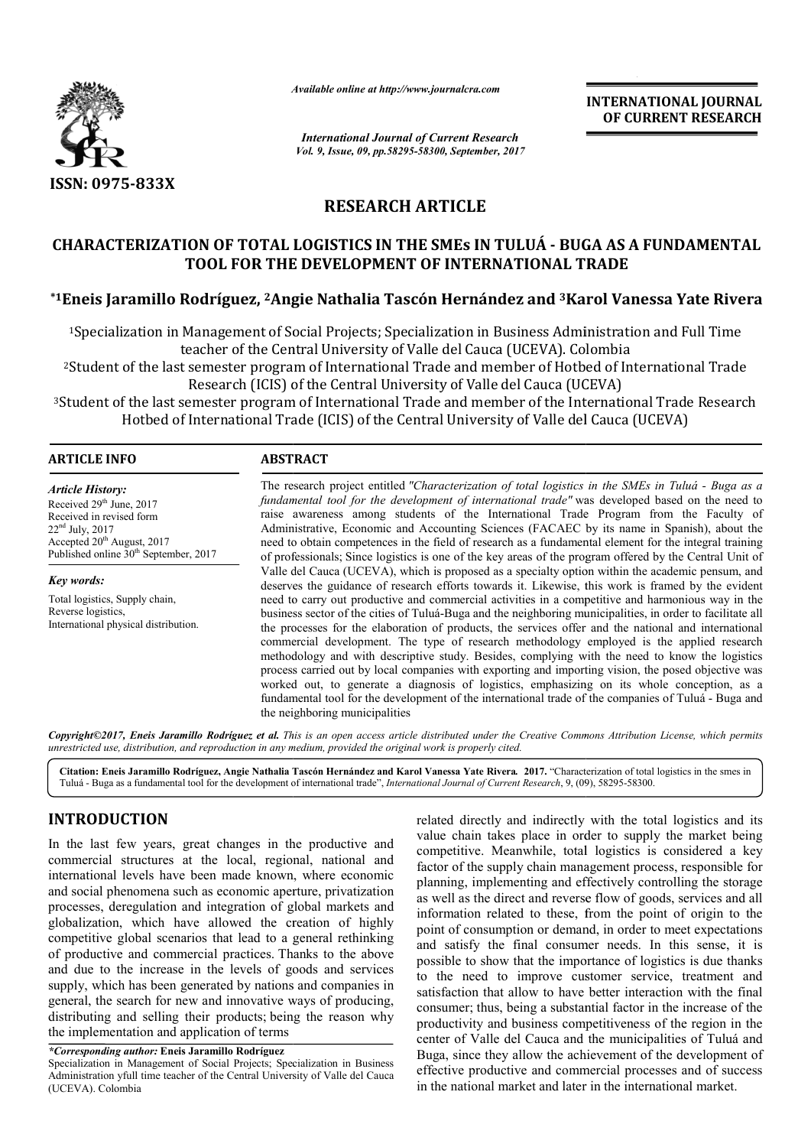

*Available online at http://www.journalcra.com*

*International Journal of Current Research Vol. 9, Issue, 09, pp.58295-58300, September, 2017* **INTERNATIONAL JOURNAL OF CURRENT RESEARCH**

## **RESEARCH ARTICLE**

# **CHARACTERIZATION OF TOTAL LOGISTICS IN THE SMEs IN TULUÁ - BUGA AS A FUNDAMENTAL TOOL FOR THE DEVELOPMENT OF INTERNATIONAL TRADE** CHARACTERIZATION OF TOTAL LOGISTICS IN THE SMEs IN TULUÀ - BUGA AS A FUNDAMENTAL<br>TOOL FOR THE DEVELOPMENT OF INTERNATIONAL TRADE<br><sup>\*1</sup>Eneis Jaramillo Rodríguez, <sup>2</sup>Angie Nathalia Tascón Hernández and <sup>3</sup>Karol Vanessa Yate R

<sup>1</sup>Specialization in Management of Social Projects; Specialization in Business Administration and Full Time teacher of the Central University of Valle del Cauca (UCEVA). Colombia teacher of the Central University of Valle del Cauca (UCEVA). Colombia<br>Student of the last semester program of International Trade and member of Hotbed of International Trade <sup>2</sup> <sup>1</sup>Specialization in Management of Social Projects; Specialization in Business Administration and Full Time<br>teacher of the Central University of Valle del Cauca (UCEVA). Colombia<br><sup>2</sup>Student of the last semester program of

Research (ICIS) of the Central University of Valle del Cauca (UCEVA)

Hotbed of International Trade (ICIS) of the Central University of Valle del Cauca (UCEVA)

#### **ARTICLE INFO ABSTRACT**

*Article History:* Received 29<sup>th</sup> June, 2017 Received in revised form  $22<sup>nd</sup>$  July,  $2017$ Accepted 20<sup>th</sup> August, 2017 Published online 30<sup>th</sup> September, 2017

*Key words:*

Total logistics, Supply chain, Reverse logistics, International physical distribution.

The research project entitled *"Characterization of total logistics in the SMEs in Tuluá Characterization total SMEs Tuluá - Buga as a*  fundamental tool for the development of international trade" was developed based on the need to raise awareness among students of the International Trade Program from the Faculty of Administrative, Economic and Accounting Sciences (FACAEC by its name in Spanish), about the need to obtain competences in the field of research as a fundamental element for the integral training of professionals; Since logistics is one of the key areas of the program offered by the Central Unit of Valle del Cauca (UCEVA), which is proposed as a specialty option within the academic pensum, and deserves the guidance of research efforts towards it. Likewise, this work is framed by the evident need to carry out productive and commercial activities in a competitive and harmonious way in the business sector of the cities of Tuluá-Buga and the neighboring municipalities, in order to facilitate all business sector of the cities of Tuluá-Buga and the neighboring municipalities, in order to facilitate all the processes for the elaboration of products, the services offer and the national and international commercial development. The type of research methodology employed is the applied research methodology and with descriptive study. Besides, complying with the need to know the logistics process carried out by local companies with exporting and importing vision, the posed objective was worked out, to generate a diagnosis of logistics, emphasizing on its fundamental tool for the development of the international trade of the companies of Tuluá - Buga and the neighboring municipalities fundamental tool for the development of international trade" was developed based on the need to<br>raise awareness among students of the International Trade Program from the Faculty of<br>Administrative, Economic and Accounting need to obtain competences in the field of research as a fundamental element for the integral training of professionals; Since logistics is one of the key areas of the program offered by the Central Unit of Valle del Cauca methodology and with descriptive study. Besides, complying with the need to know the logistics<br>process carried out by local companies with exporting and importing vision, the posed objective was<br>worked out, to generate a d

Copyright©2017, Eneis Jaramillo Rodríguez et al. This is an open access article distributed under the Creative Commons Attribution License, which permits unrestricted use, distribution, and reproduction in any medium, provided the original work is properly cited.

Citation: Eneis Jaramillo Rodríguez, Angie Nathalia Tascón Hernández and Karol Vanessa Yate Rivera. 2017. "Characterization of total logistics in the smes in<br>Tuluá - Buga as a fundamental tool for the development of intern Tuluá - Buga as a fundamental tool for the development of international trade", *International Journal of Current Research*, 9, (09),

## **INTRODUCTION**

In the last few years, great changes in the productive and commercial structures at the local, regional, national and international levels have been made known, where economic and social phenomena such as economic aperture, privatization processes, deregulation and integration of global markets and globalization, which have allowed the creation of highly competitive global scenarios that lead to a general rethinking of productive and commercial practices. Thanks to the above and due to the increase in the levels of goods and services supply, which has been generated by nations and companies in general, the search for new and innovative ways of producing, distributing and selling their products; being the reason why the implementation and application of terms

*\*Corresponding author:* **Eneis Jaramillo Rodríguez**

Specialization in Management of Social Projects; Specialization in Business Administration yfull time teacher of the Central University of Valle del Cauca (UCEVA). Colombia

related directly and indirectly with the total logistics and its value chain takes place in order to supply the market being competitive. Meanwhile, total logistics is considered a key factor of the supply chain management process, responsible for planning, implementing and effectively controlling the storage as well as the direct and reverse flow of goods, services and all information related to these, planning, implementing and effectively controlling the storage as well as the direct and reverse flow of goods, services and all information related to these, from the point of origin to the point of consumption or demand, in order to meet expectations point of consumption or demand, in order to meet expectations and satisfy the final consumer needs. In this sense, it is possible to show that the importance of logistics is due thanks to the need to improve customer service, treatment and satisfaction that allow to have better interaction with the final consumer; thus, being a substantial factor in the productivity and business competitiveness of the region in the center of Valle del Cauca and the municipalities of Tuluá and Buga, since they allow the achievement of the development of effective productive and commercial processes and of s in the national market and later in the international market. directly and indirectly with the total logistics and its<br>hain takes place in order to supply the market being<br>tive. Meanwhile, total logistics is considered a key to show that the importance of logistics is due thanks<br>need to improve customer service, treatment and<br>ion that allow to have better interaction with the final<br>er; thus, being a substantial factor in the increase of the productivity and business competitiveness of the region in the center of Valle del Cauca and the municipalities of Tuluá and Buga, since they allow the achievement of the development of effective productive and commercial **INTERNATIONAL JOURNAL OF CURRENT RESEARCH**<br>
OF CURRENT RESEARCH<br>
OF CURRENT RESEARCH<br>
COLORIZED TRESEARCH<br>
TRADE<br>
TO **Vanessa Yate Rivera**<br>
mistration and Full Time<br>
ombia<br>
ed of International Trade Research<br>
Cauca (UCEV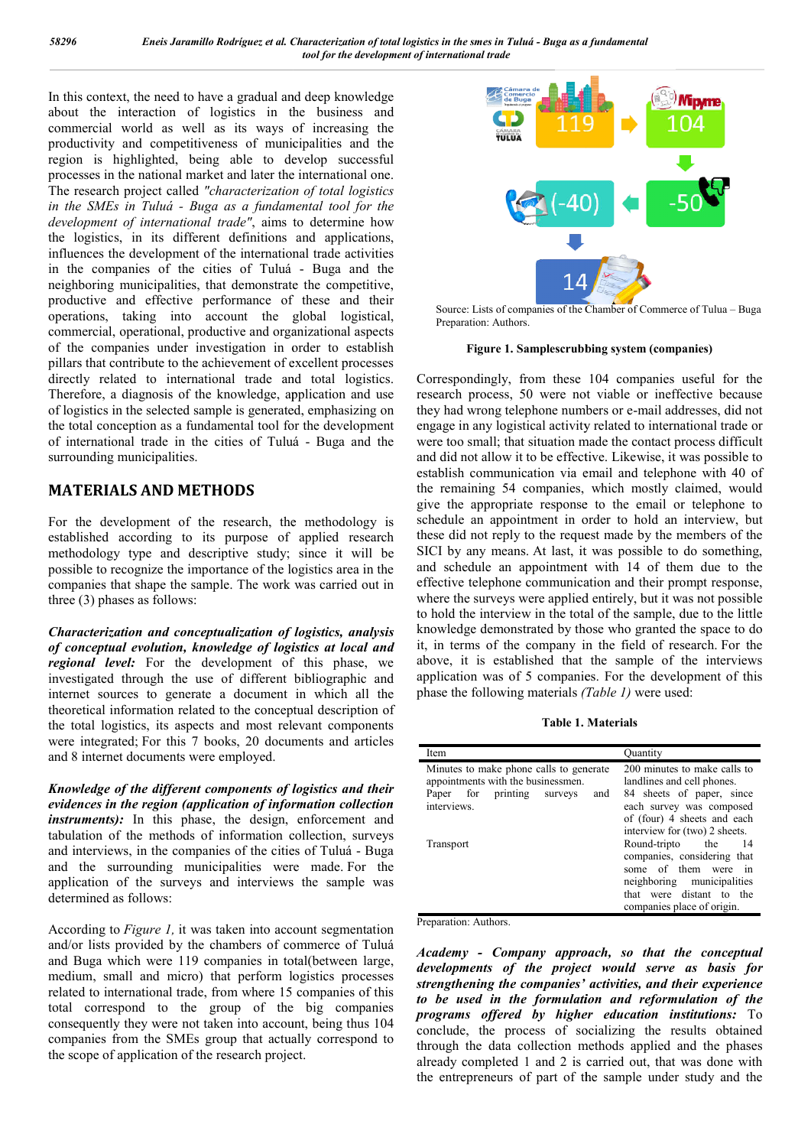In this context, the need to have a gradual and deep knowledge about the interaction of logistics in the business and commercial world as well as its ways of increasing the productivity and competitiveness of municipalities and the region is highlighted, being able to develop successful processes in the national market and later the international one. The research project called *"characterization of total logistics characterization in the SMEs in Tuluá - Buga as a fundamental tool for the development of international trade"*, aims to determine how the logistics, in its different definitions and applications, influences the development of the international trade activities in the companies of the cities of Tuluá - Buga and the neighboring municipalities, that demonstrate the competitive, productive and effective performance of these and their operations, taking into account the global logistical, commercial, operational, productive and organizational aspects of the companies under investigation in order to establish pillars that contribute to the achievement of excellent processes directly related to international trade and total logistics. Therefore, a diagnosis of the knowledge, application and use of logistics in the selected sample is generated, emphasizing on the total conception as a fundamental tool for the development of international trade in the cities of Tuluá surrounding municipalities. ics in the selected sample is generated, emphasizing on<br>conception as a fundamental tool for the development<br>national trade in the cities of Tuluá - Buga and the

## **MATERIALS AND METHODS**

For the development of the research, the methodology is established according to its purpose of applied research methodology type and descriptive study; since it will be possible to recognize the importance of the logistics area in the companies that shape the sample. The work was carried out in three (3) phases as follows:

*Characterization and conceptualization of logistics, analysis of conceptual evolution, knowledge of logistics at local and regional level:* For the development of this phase, we investigated through the use of different bibliographic and internet sources to generate a document in which all the theoretical information related to the conceptual description of the total logistics, its aspects and most relevant components were integrated; For this 7 books, 20 documents and articles and 8 internet documents were employed. igated through the use of different bibliographic and<br>et sources to generate a document in which all the<br>tical information related to the conceptual description of<br>tal logistics, its aspects and most relevant components<br>in

*Knowledge of the different components of logistics and their evidences in the region (application of information collection instruments*): In this phase, the design, enforcement and tabulation of the methods of information collection, surveys and interviews, in the companies of the cities of Tuluá - Buga and the surrounding municipalities were made. For the application of the surveys and interviews the sample was determined as follows:

According to *Figure 1,* it was taken into account segmentation and/or lists provided by the chambers of commerce of Tuluá and Buga which were 119 companies in total(between large, medium, small and micro) that perform logistics processes related to international trade, from where 15 companies of this total correspond to the group of the big companies consequently they were not taken into account, being thus 104 companies from the SMEs group that actually correspond to the scope of application of the research project.



Source: Lists of companies of the Chamber of Commerce of Tulua – Buga Preparation: Authors.

#### **Figure 1. Samplescrubbing system (companies) Samplescrubbing system**

Correspondingly, from these 104 companies useful for the research process, 50 were not viable or ineffective because they had wrong telephone numbers or e-mail addresses, did not engage in any logistical activity related to international trade or were too small; that situation made the contact process difficult and did not allow it to be effective. Likewise, it was possible to establish communication via email and telephone with 40 of the remaining 54 companies, which mostly claimed, would give the appropriate response to the email or telephone to the remaining 54 companies, which mostly claimed, would give the appropriate response to the email or telephone to schedule an appointment in order to hold an interview, but these did not reply to the request made by the members of the SICI by any means. At last, it was possible to do something, and schedule an appointment with 14 of them due to the effective telephone communication and their prompt response, where the surveys were applied entirely, but it was not possible to hold the interview in the total of the sample, due to the little knowledge demonstrated by those who granted the space to do it, in terms of the company in the field of research. above, it is established that the sample of the interviews above, it is established that the sample of the interviews application was of 5 companies. For the development of this phase the following materials *(Table 1)* were used: se did not reply to the request made by the members of the CI by any means. At last, it was possible to do something, if schedule an appointment with 14 of them due to the ective telephone communication and their prompt re in the smes in Tulud - Buga as a fundamental<br>
entrational trade<br>
Source: Lists of companies of the Chamber of Ce<br>
Proparation: Authors.<br>
Figure 1. Samplescrubbing system<br>
and wrong telephone numbers or e-most valide or<br>
ha

**Table 1. Materials**

| Item                                                                                                                                    | Quantity                                                                                                                                                                            |
|-----------------------------------------------------------------------------------------------------------------------------------------|-------------------------------------------------------------------------------------------------------------------------------------------------------------------------------------|
| Minutes to make phone calls to generate<br>appointments with the businessmen.<br>for printing<br>Paper<br>surveys<br>and<br>interviews. | 200 minutes to make calls to<br>landlines and cell phones.<br>84 sheets of paper, since<br>each survey was composed<br>of (four) 4 sheets and each<br>interview for (two) 2 sheets. |
| Transport                                                                                                                               | Round-tripto the<br>14<br>companies, considering that<br>some of them<br>were<br>in<br>neighboring municipalities<br>that were distant to the<br>companies place of origin.         |

Preparation: Authors.

*Academy - Company approach, so that the conceptual developments of the project would serve as that basis for strengthening the companies' activities, and their experience to be used in the formulation and reformulation of the programs offered by higher education institutions* conclude, the process of socializing the results obtained through the data collection methods applied and the phases already completed 1 and 2 is carried out, that was done with the entrepreneurs of part of the sample under study and the *the companies' activities, and their experience***<br>***the formulation and reformulation of the***<br>ered by higher education institutions: To** the process of socializing the results obtained<br>e data collection methods applied and the phases<br>npleted 1 and 2 is carried out, that was done with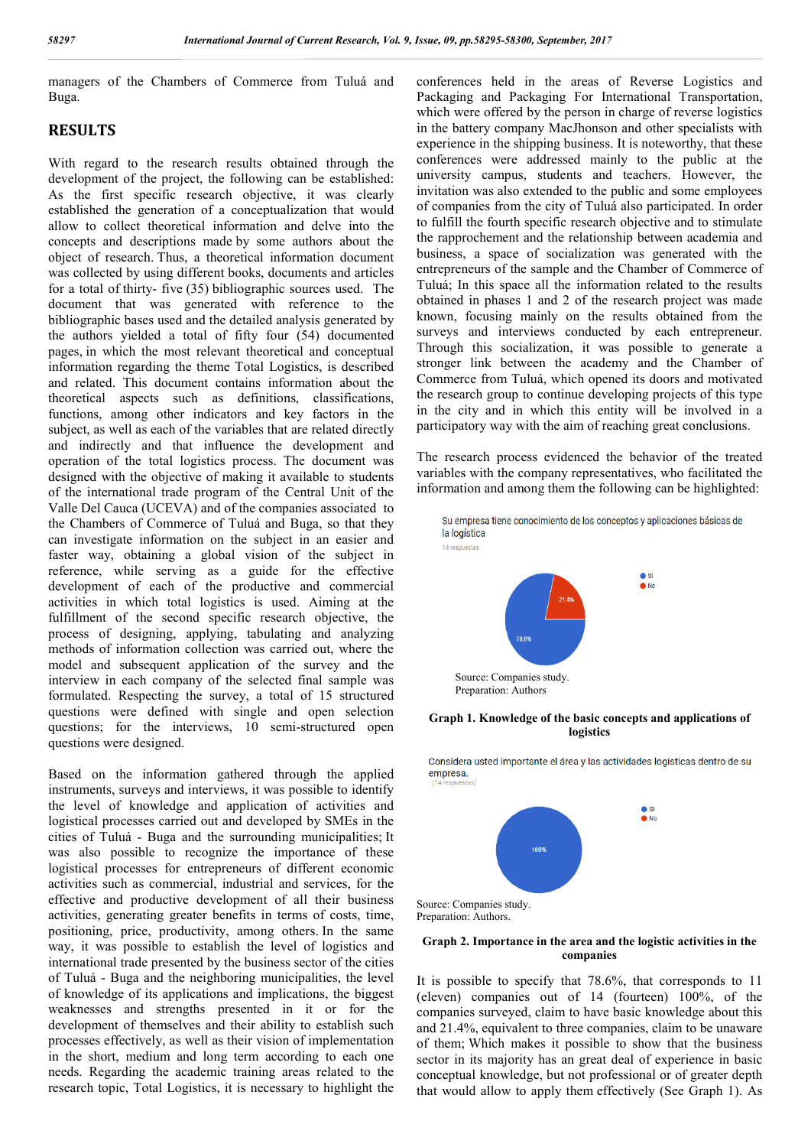managers of the Chambers of Commerce from Tuluá and Buga.

## **RESULTS**

With regard to the research results obtained through the development of the project, the following can be established: As the first specific research objective, it was clearly established the generation of a conceptualization that would allow to collect theoretical information and delve into the concepts and descriptions made by some authors about the object of research. Thus, a theoretical information document was collected by using different books, documents and articles for a total of thirty- five (35) bibliographic sources used. The document that was generated with reference to the bibliographic bases used and the detailed analysis generated by the authors yielded a total of fifty four (54) documented pages, in which the most relevant theoretical and conceptual information regarding the theme Total Logistics, is described and related. This document contains information about the theoretical aspects such as definitions, classifications, functions, among other indicators and key factors in the subject, as well as each of the variables that are related directly and indirectly and that influence the development and operation of the total logistics process. The document was designed with the objective of making it available to students of the international trade program of the Central Unit of the Valle Del Cauca (UCEVA) and of the companies associated to the Chambers of Commerce of Tuluá and Buga, so that they can investigate information on the subject in an easier and faster way, obtaining a global vision of the subject in reference, while serving as a guide for the effective development of each of the productive and commercial activities in which total logistics is used. Aiming at the fulfillment of the second specific research objective, the process of designing, applying, tabulating and analyzing methods of information collection was carried out, where the model and subsequent application of the survey and the interview in each company of the selected final sample was formulated. Respecting the survey, a total of 15 structured questions were defined with single and open selection questions; for the interviews, 10 semi-structured open questions were designed.

Based on the information gathered through the applied instruments, surveys and interviews, it was possible to identify the level of knowledge and application of activities and logistical processes carried out and developed by SMEs in the cities of Tuluá - Buga and the surrounding municipalities; It was also possible to recognize the importance of these logistical processes for entrepreneurs of different economic activities such as commercial, industrial and services, for the effective and productive development of all their business activities, generating greater benefits in terms of costs, time, positioning, price, productivity, among others. In the same way, it was possible to establish the level of logistics and international trade presented by the business sector of the cities of Tuluá - Buga and the neighboring municipalities, the level of knowledge of its applications and implications, the biggest weaknesses and strengths presented in it or for the development of themselves and their ability to establish such processes effectively, as well as their vision of implementation in the short, medium and long term according to each one needs. Regarding the academic training areas related to the research topic, Total Logistics, it is necessary to highlight the

conferences held in the areas of Reverse Logistics and Packaging and Packaging For International Transportation, which were offered by the person in charge of reverse logistics in the battery company MacJhonson and other specialists with experience in the shipping business. It is noteworthy, that these conferences were addressed mainly to the public at the university campus, students and teachers. However, the invitation was also extended to the public and some employees of companies from the city of Tuluá also participated. In order to fulfill the fourth specific research objective and to stimulate the rapprochement and the relationship between academia and business, a space of socialization was generated with the entrepreneurs of the sample and the Chamber of Commerce of Tuluá; In this space all the information related to the results obtained in phases 1 and 2 of the research project was made known, focusing mainly on the results obtained from the surveys and interviews conducted by each entrepreneur. Through this socialization, it was possible to generate a stronger link between the academy and the Chamber of Commerce from Tuluá, which opened its doors and motivated the research group to continue developing projects of this type in the city and in which this entity will be involved in a participatory way with the aim of reaching great conclusions.

The research process evidenced the behavior of the treated variables with the company representatives, who facilitated the information and among them the following can be highlighted:



#### **Graph 1. Knowledge of the basic concepts and applications of logistics**

Considera usted importante el área y las actividades logísticas dentro de su empresa.



#### **Graph 2. Importance in the area and the logistic activities in the companies**

It is possible to specify that 78.6%, that corresponds to 11 (eleven) companies out of 14 (fourteen) 100%, of the companies surveyed, claim to have basic knowledge about this and 21.4%, equivalent to three companies, claim to be unaware of them; Which makes it possible to show that the business sector in its majority has an great deal of experience in basic conceptual knowledge, but not professional or of greater depth that would allow to apply them effectively (See Graph 1). As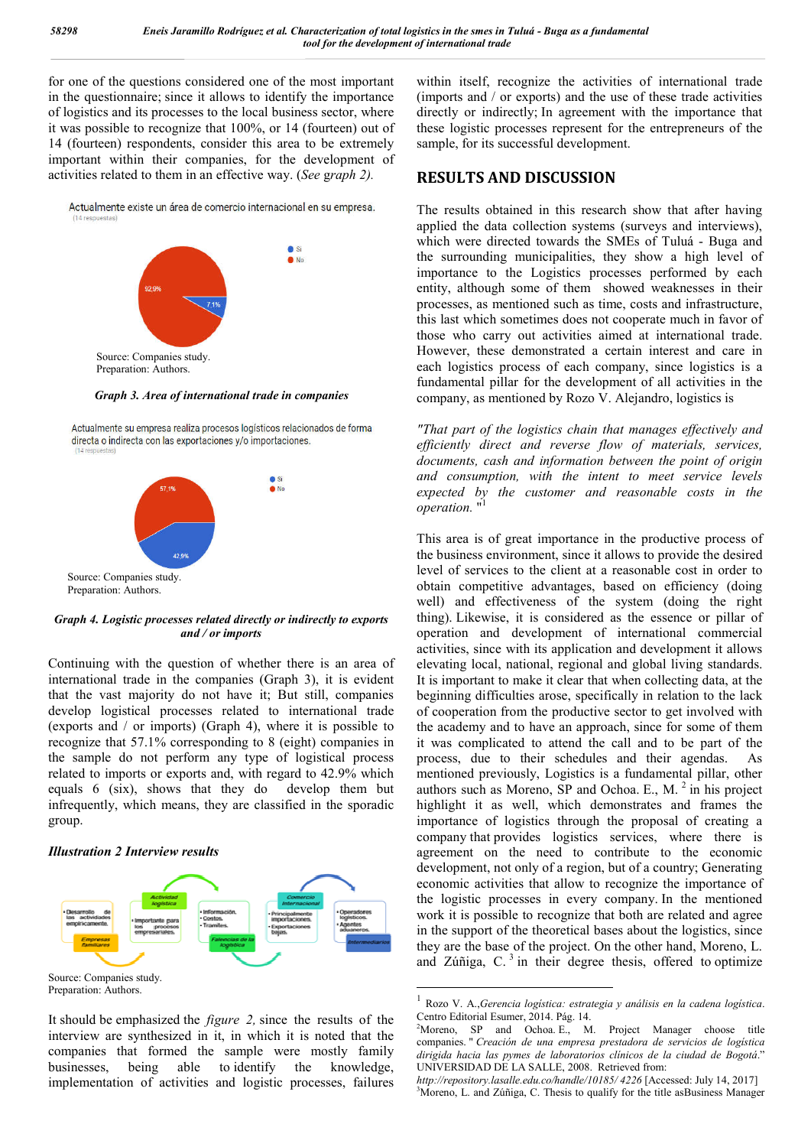for one of the questions considered one of the most important in the questionnaire; since it allows to identify the importance of logistics and its processes to the local business sector, where it was possible to recognize that 100%, or 14 (fourteen) out of 14 (fourteen) respondents, consider this area to be extremely important within their companies, for the development of activities related to them in an effective way. (*See* g*raph 2).*

Actualmente existe un área de comercio internacional en su empresa.



*Graph 3. Area of international trade in companies*

Actualmente su empresa realiza procesos logísticos relacionados de forma directa o indirecta con las exportaciones y/o importaciones.



### *Graph 4. Logistic processes related directly or indirectly to exports and / or imports*

Continuing with the question of whether there is an area of international trade in the companies (Graph 3), it is evident that the vast majority do not have it; But still, companies develop logistical processes related to international trade (exports and / or imports) (Graph 4), where it is possible to recognize that 57.1% corresponding to 8 (eight) companies in the sample do not perform any type of logistical process related to imports or exports and, with regard to 42.9% which equals 6 (six), shows that they do develop them but infrequently, which means, they are classified in the sporadic group.

#### *Illustration 2 Interview results*



Preparation: Authors.

It should be emphasized the *figure 2,* since the results of the interview are synthesized in it, in which it is noted that the companies that formed the sample were mostly family businesses, being able to identify the knowledge, implementation of activities and logistic processes, failures

within itself, recognize the activities of international trade (imports and / or exports) and the use of these trade activities directly or indirectly; In agreement with the importance that these logistic processes represent for the entrepreneurs of the sample, for its successful development.

## **RESULTS AND DISCUSSION**

The results obtained in this research show that after having applied the data collection systems (surveys and interviews), which were directed towards the SMEs of Tuluá - Buga and the surrounding municipalities, they show a high level of importance to the Logistics processes performed by each entity, although some of them showed weaknesses in their processes, as mentioned such as time, costs and infrastructure, this last which sometimes does not cooperate much in favor of those who carry out activities aimed at international trade. However, these demonstrated a certain interest and care in each logistics process of each company, since logistics is a fundamental pillar for the development of all activities in the company, as mentioned by Rozo V. Alejandro, logistics is

*"That part of the logistics chain that manages effectively and efficiently direct and reverse flow of materials, services, documents, cash and information between the point of origin and consumption, with the intent to meet service levels expected by the customer and reasonable costs in the operation.* " 1

This area is of great importance in the productive process of the business environment, since it allows to provide the desired level of services to the client at a reasonable cost in order to obtain competitive advantages, based on efficiency (doing well) and effectiveness of the system (doing the right thing). Likewise, it is considered as the essence or pillar of operation and development of international commercial activities, since with its application and development it allows elevating local, national, regional and global living standards. It is important to make it clear that when collecting data, at the beginning difficulties arose, specifically in relation to the lack of cooperation from the productive sector to get involved with the academy and to have an approach, since for some of them it was complicated to attend the call and to be part of the process, due to their schedules and their agendas. As mentioned previously, Logistics is a fundamental pillar, other authors such as Moreno, SP and Ochoa. E., M. $<sup>2</sup>$  in his project</sup> highlight it as well, which demonstrates and frames the importance of logistics through the proposal of creating a company that provides logistics services, where there is agreement on the need to contribute to the economic development, not only of a region, but of a country; Generating economic activities that allow to recognize the importance of the logistic processes in every company. In the mentioned work it is possible to recognize that both are related and agree in the support of the theoretical bases about the logistics, since they are the base of the project. On the other hand, Moreno, L. and Zúñiga, C.<sup>3</sup> in their degree thesis, offered to optimize

 <sup>1</sup> Rozo V. A.,*Gerencia logística: estrategia y análisis en la cadena logística*. Centro Editorial Esumer, 2014. Pág. 14.

<sup>&</sup>lt;sup>2</sup>Moreno, SP and Ochoa. E., M. Project Manager choose title companies. " *Creación de una empresa prestadora de servicios de logística dirigida hacia las pymes de laboratorios clínicos de la ciudad de Bogotá*." UNIVERSIDAD DE LA SALLE, 2008. Retrieved from:

*http://repository.lasalle.edu.co/handle/10185/ 4226* [Accessed: July 14, 2017] <sup>3</sup> <sup>3</sup>Moreno, L. and Zúñiga, C. Thesis to qualify for the title asBusiness Manager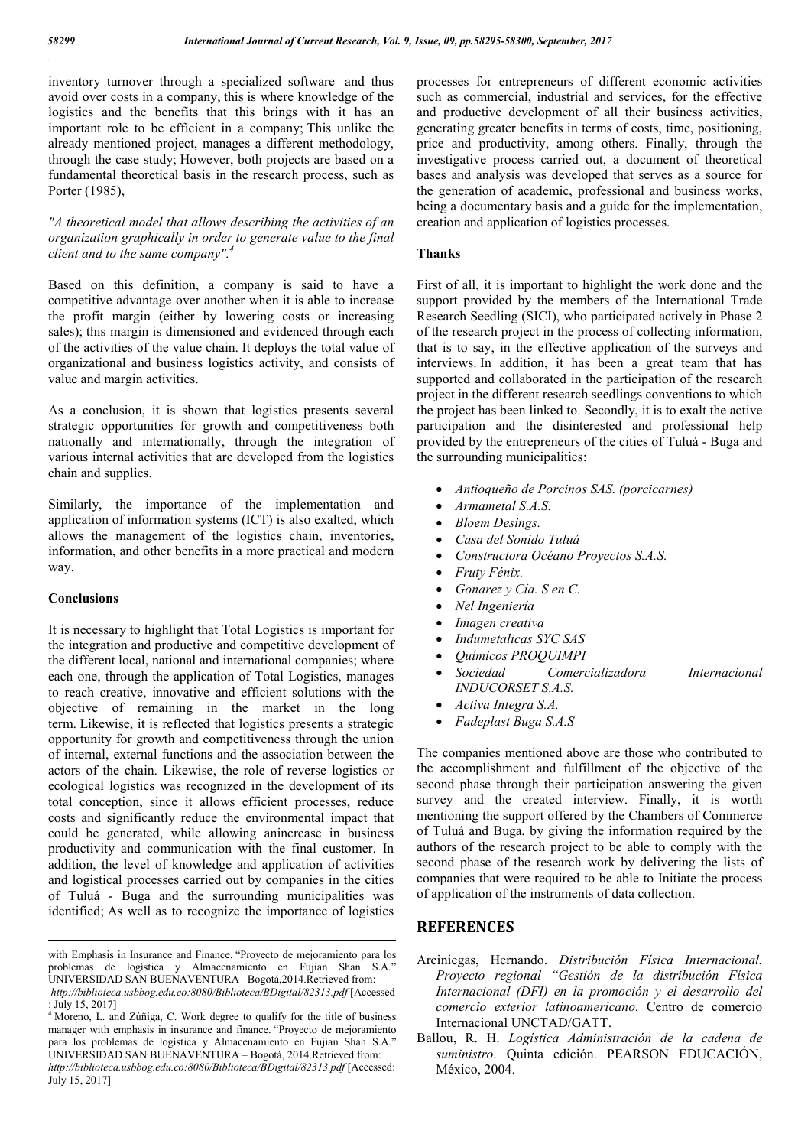inventory turnover through a specialized software and thus avoid over costs in a company, this is where knowledge of the logistics and the benefits that this brings with it has an important role to be efficient in a company; This unlike the already mentioned project, manages a different methodology, through the case study; However, both projects are based on a fundamental theoretical basis in the research process, such as Porter (1985),

### *"A theoretical model that allows describing the activities of an organization graphically in order to generate value to the final client and to the same company".4*

Based on this definition, a company is said to have a competitive advantage over another when it is able to increase the profit margin (either by lowering costs or increasing sales); this margin is dimensioned and evidenced through each of the activities of the value chain. It deploys the total value of organizational and business logistics activity, and consists of value and margin activities.

As a conclusion, it is shown that logistics presents several strategic opportunities for growth and competitiveness both nationally and internationally, through the integration of various internal activities that are developed from the logistics chain and supplies.

Similarly, the importance of the implementation and application of information systems (ICT) is also exalted, which allows the management of the logistics chain, inventories, information, and other benefits in a more practical and modern way.

#### **Conclusions**

It is necessary to highlight that Total Logistics is important for the integration and productive and competitive development of the different local, national and international companies; where each one, through the application of Total Logistics, manages to reach creative, innovative and efficient solutions with the objective of remaining in the market in the long term. Likewise, it is reflected that logistics presents a strategic opportunity for growth and competitiveness through the union of internal, external functions and the association between the actors of the chain. Likewise, the role of reverse logistics or ecological logistics was recognized in the development of its total conception, since it allows efficient processes, reduce costs and significantly reduce the environmental impact that could be generated, while allowing anincrease in business productivity and communication with the final customer. In addition, the level of knowledge and application of activities and logistical processes carried out by companies in the cities of Tuluá - Buga and the surrounding municipalities was identified; As well as to recognize the importance of logistics

processes for entrepreneurs of different economic activities such as commercial, industrial and services, for the effective and productive development of all their business activities, generating greater benefits in terms of costs, time, positioning, price and productivity, among others. Finally, through the investigative process carried out, a document of theoretical bases and analysis was developed that serves as a source for the generation of academic, professional and business works, being a documentary basis and a guide for the implementation, creation and application of logistics processes.

#### **Thanks**

First of all, it is important to highlight the work done and the support provided by the members of the International Trade Research Seedling (SICI), who participated actively in Phase 2 of the research project in the process of collecting information, that is to say, in the effective application of the surveys and interviews. In addition, it has been a great team that has supported and collaborated in the participation of the research project in the different research seedlings conventions to which the project has been linked to. Secondly, it is to exalt the active participation and the disinterested and professional help provided by the entrepreneurs of the cities of Tuluá - Buga and the surrounding municipalities:

- *Antioqueño de Porcinos SAS. (porcicarnes)*
- *Armametal S.A.S.*
- *Bloem Desings.*
- *Casa del Sonido Tuluá*
- *Constructora Océano Proyectos S.A.S.*
- *Fruty Fénix.*
- *Gonarez y Cía. S en C.*
- *Nel Ingeniería*
- *Imagen creativa*
- *Indumetalicas SYC SAS*
- *Químicos PROQUIMPI*
- *Sociedad Comercializadora Internacional INDUCORSET S.A.S.*
- *Activa Integra S.A.*
- *Fadeplast Buga S.A.S*

The companies mentioned above are those who contributed to the accomplishment and fulfillment of the objective of the second phase through their participation answering the given survey and the created interview. Finally, it is worth mentioning the support offered by the Chambers of Commerce of Tuluá and Buga, by giving the information required by the authors of the research project to be able to comply with the second phase of the research work by delivering the lists of companies that were required to be able to Initiate the process of application of the instruments of data collection.

#### **REFERENCES**

- Arciniegas, Hernando. *Distribución Física Internacional. Proyecto regional "Gestión de la distribución Física Internacional (DFI) en la promoción y el desarrollo del comercio exterior latinoamericano.* Centro de comercio Internacional UNCTAD/GATT.
- Ballou, R. H. *Logística Administración de la cadena de suministro*. Quinta edición. PEARSON EDUCACIÓN, México, 2004.

with Emphasis in Insurance and Finance. "Proyecto de mejoramiento para los problemas de logística y Almacenamiento en Fujian Shan S.A." UNIVERSIDAD SAN BUENAVENTURA –Bogotá,2014.Retrieved from:

*http://biblioteca.usbbog.edu.co:8080/Biblioteca/BDigital/82313.pdf* [Accessed : July 15, 2017]

<sup>&</sup>lt;sup>4</sup> Moreno, L. and Zúñiga, C. Work degree to qualify for the title of business manager with emphasis in insurance and finance. "Proyecto de mejoramiento para los problemas de logística y Almacenamiento en Fujian Shan S.A." UNIVERSIDAD SAN BUENAVENTURA – Bogotá, 2014.Retrieved from:

*http://biblioteca.usbbog.edu.co:8080/Biblioteca/BDigital/82313.pdf* [Accessed: July 15, 2017]